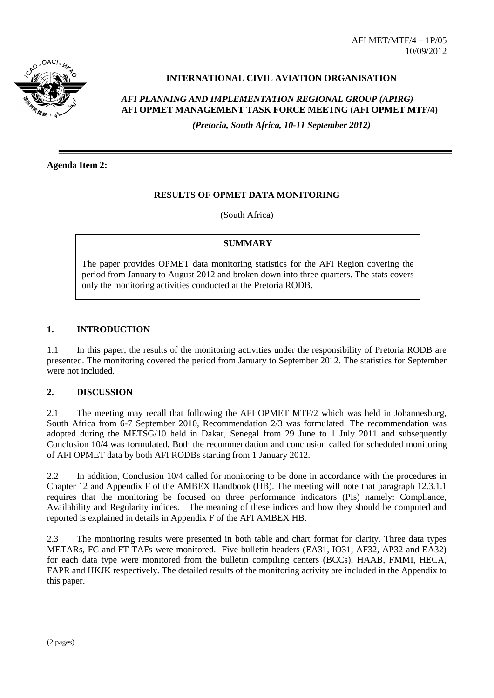AFI MET/MTF/4 – 1P/05 10/09/2012



## **INTERNATIONAL CIVIL AVIATION ORGANISATION**

# *AFI PLANNING AND IMPLEMENTATION REGIONAL GROUP (APIRG)* **AFI OPMET MANAGEMENT TASK FORCE MEETNG (AFI OPMET MTF/4)**

*(Pretoria, South Africa, 10-11 September 2012)*

**Agenda Item 2:**

#### **RESULTS OF OPMET DATA MONITORING**

(South Africa)

#### **SUMMARY**

The paper provides OPMET data monitoring statistics for the AFI Region covering the period from January to August 2012 and broken down into three quarters. The stats covers only the monitoring activities conducted at the Pretoria RODB.

### **1. INTRODUCTION**

1.1 In this paper, the results of the monitoring activities under the responsibility of Pretoria RODB are presented. The monitoring covered the period from January to September 2012. The statistics for September were not included.

#### **2. DISCUSSION**

2.1 The meeting may recall that following the AFI OPMET MTF/2 which was held in Johannesburg, South Africa from 6-7 September 2010, Recommendation 2/3 was formulated. The recommendation was adopted during the METSG/10 held in Dakar, Senegal from 29 June to 1 July 2011 and subsequently Conclusion 10/4 was formulated. Both the recommendation and conclusion called for scheduled monitoring of AFI OPMET data by both AFI RODBs starting from 1 January 2012.

2.2 In addition, Conclusion 10/4 called for monitoring to be done in accordance with the procedures in Chapter 12 and Appendix F of the AMBEX Handbook (HB). The meeting will note that paragraph 12.3.1.1 requires that the monitoring be focused on three performance indicators (PIs) namely: Compliance, Availability and Regularity indices. The meaning of these indices and how they should be computed and reported is explained in details in Appendix F of the AFI AMBEX HB.

2.3 The monitoring results were presented in both table and chart format for clarity. Three data types METARs, FC and FT TAFs were monitored. Five bulletin headers (EA31, IO31, AF32, AP32 and EA32) for each data type were monitored from the bulletin compiling centers (BCCs), HAAB, FMMI, HECA, FAPR and HKJK respectively. The detailed results of the monitoring activity are included in the Appendix to this paper.